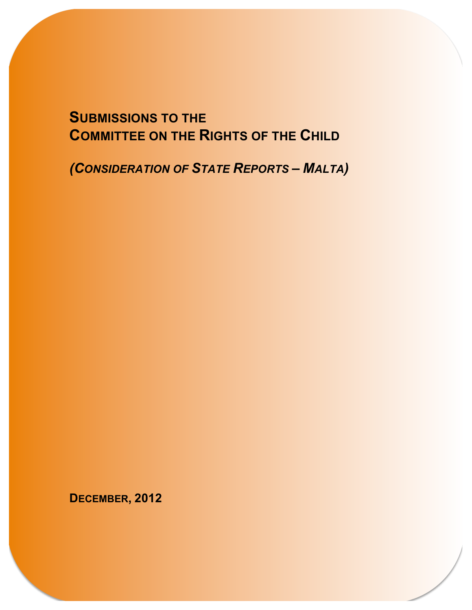### **SUBMISSIONS TO THE COMMITTEE ON THE RIGHTS OF THE CHILD**

*(CONSIDERATION OF STATE REPORTS – MALTA)*

**DECEMBER, 2012**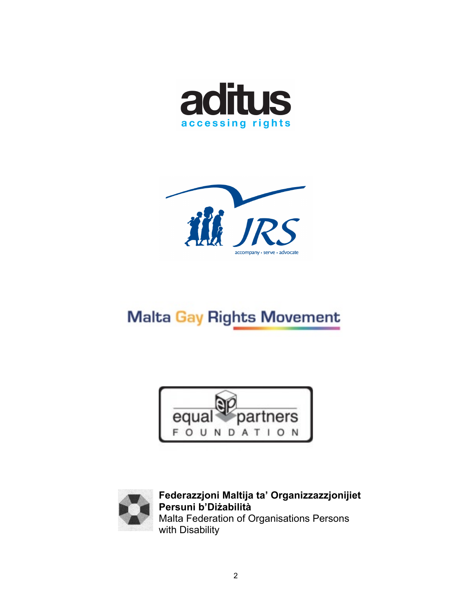



### **Malta Gay Rights Movement**





**Federazzjoni Maltija ta' Organizzazzjonijiet Persuni b'Diżabilità** Malta Federation of Organisations Persons with Disability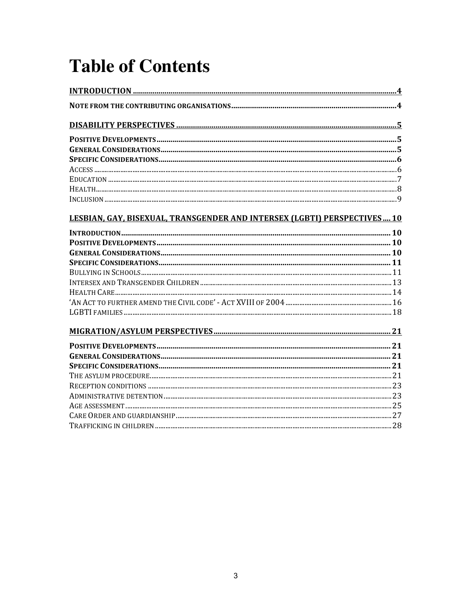# **Table of Contents**

| LESBIAN, GAY, BISEXUAL, TRANSGENDER AND INTERSEX (LGBTI) PERSPECTIVES 10 |  |
|--------------------------------------------------------------------------|--|
|                                                                          |  |
|                                                                          |  |
|                                                                          |  |
|                                                                          |  |
|                                                                          |  |
|                                                                          |  |
|                                                                          |  |
|                                                                          |  |
|                                                                          |  |
|                                                                          |  |
|                                                                          |  |
|                                                                          |  |
|                                                                          |  |
|                                                                          |  |
|                                                                          |  |
|                                                                          |  |
|                                                                          |  |
|                                                                          |  |
|                                                                          |  |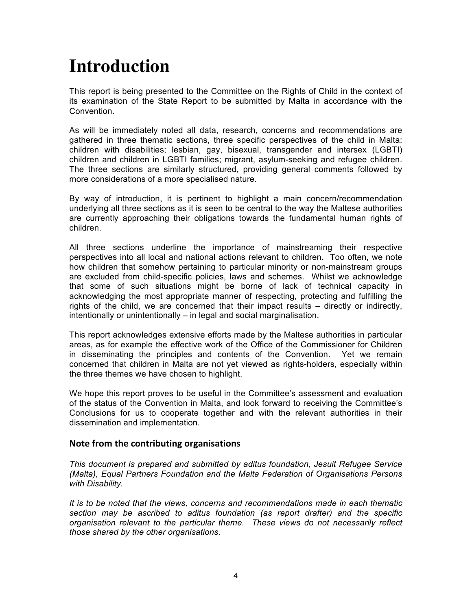## **Introduction**

This report is being presented to the Committee on the Rights of Child in the context of its examination of the State Report to be submitted by Malta in accordance with the Convention.

As will be immediately noted all data, research, concerns and recommendations are gathered in three thematic sections, three specific perspectives of the child in Malta: children with disabilities; lesbian, gay, bisexual, transgender and intersex (LGBTI) children and children in LGBTI families; migrant, asylum-seeking and refugee children. The three sections are similarly structured, providing general comments followed by more considerations of a more specialised nature.

By way of introduction, it is pertinent to highlight a main concern/recommendation underlying all three sections as it is seen to be central to the way the Maltese authorities are currently approaching their obligations towards the fundamental human rights of children.

All three sections underline the importance of mainstreaming their respective perspectives into all local and national actions relevant to children. Too often, we note how children that somehow pertaining to particular minority or non-mainstream groups are excluded from child-specific policies, laws and schemes. Whilst we acknowledge that some of such situations might be borne of lack of technical capacity in acknowledging the most appropriate manner of respecting, protecting and fulfilling the rights of the child, we are concerned that their impact results – directly or indirectly, intentionally or unintentionally – in legal and social marginalisation.

This report acknowledges extensive efforts made by the Maltese authorities in particular areas, as for example the effective work of the Office of the Commissioner for Children in disseminating the principles and contents of the Convention. Yet we remain concerned that children in Malta are not yet viewed as rights-holders, especially within the three themes we have chosen to highlight.

We hope this report proves to be useful in the Committee's assessment and evaluation of the status of the Convention in Malta, and look forward to receiving the Committee's Conclusions for us to cooperate together and with the relevant authorities in their dissemination and implementation.

#### **Note from the contributing organisations**

*This document is prepared and submitted by aditus foundation, Jesuit Refugee Service (Malta), Equal Partners Foundation and the Malta Federation of Organisations Persons with Disability.* 

*It is to be noted that the views, concerns and recommendations made in each thematic section may be ascribed to aditus foundation (as report drafter) and the specific organisation relevant to the particular theme. These views do not necessarily reflect those shared by the other organisations.*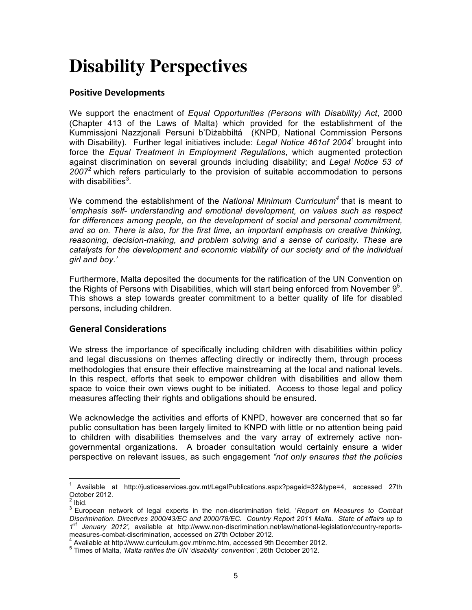## **Disability Perspectives**

#### **Positive Developments**

We support the enactment of *Equal Opportunities (Persons with Disability) Act*, 2000 (Chapter 413 of the Laws of Malta) which provided for the establishment of the Kummissjoni Nazzjonali Persuni b'Diżabbiltá (KNPD, National Commission Persons with Disability). Further legal initiatives include: *Legal Notice 461of 2004*<sup>1</sup> brought into force the *Equal Treatment in Employment Regulations*, which augmented protection against discrimination on several grounds including disability; and *Legal Notice 53 of 2007*<sup>2</sup> which refers particularly to the provision of suitable accommodation to persons with disabilities $^3$ .

We commend the establishment of the *National Minimum Curriculum<sup>4</sup>* that is meant to '*emphasis self- understanding and emotional development, on values such as respect*  for differences among people, on the development of social and personal commitment, *and so on. There is also, for the first time, an important emphasis on creative thinking, reasoning, decision-making, and problem solving and a sense of curiosity. These are catalysts for the development and economic viability of our society and of the individual girl and boy*.*'*

Furthermore, Malta deposited the documents for the ratification of the UN Convention on the Rights of Persons with Disabilities, which will start being enforced from November  $9<sup>5</sup>$ . This shows a step towards greater commitment to a better quality of life for disabled persons, including children.

#### **General Considerations**

We stress the importance of specifically including children with disabilities within policy and legal discussions on themes affecting directly or indirectly them, through process methodologies that ensure their effective mainstreaming at the local and national levels. In this respect, efforts that seek to empower children with disabilities and allow them space to voice their own views ought to be initiated. Access to those legal and policy measures affecting their rights and obligations should be ensured.

We acknowledge the activities and efforts of KNPD, however are concerned that so far public consultation has been largely limited to KNPD with little or no attention being paid to children with disabilities themselves and the vary array of extremely active nongovernmental organizations. A broader consultation would certainly ensure a wider perspective on relevant issues, as such engagement *"not only ensures that the policies* 

 <sup>1</sup> Available at http://justiceservices.gov.mt/LegalPublications.aspx?pageid=32&type=4, accessed 27th October 2012.

<sup>&</sup>lt;sup>2</sup> Ibid.<br><sup>3</sup> European network of legal experts in the non-discrimination field, *'Report on Measures to Combat* **·** *Discrimination. Directives 2000/43/EC and 2000/78/EC. Country Report 2011 Malta. State of affairs up to 1st January 2012',* available at http://www.non-discrimination.net/law/national-legislation/country-reports-

measures-combat-discrimination, accessed on 27th October 2012.<br><sup>4</sup> Available at http://www.curriculum.gov.mt/nmc.htm, accessed 9th December 2012.<br><sup>5</sup> Times of Malta, *'Malta ratifies the UN 'disability' convention'*, 26th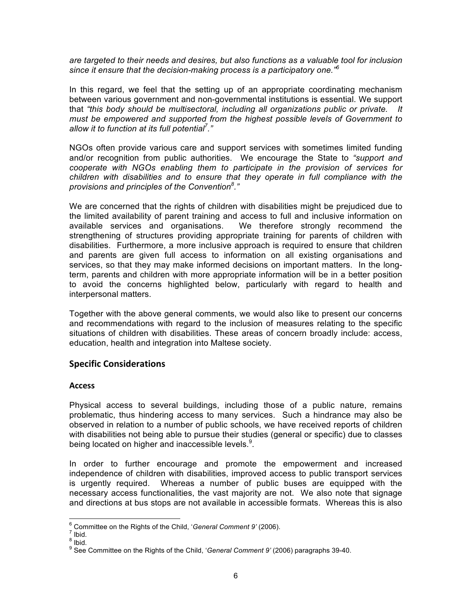*are targeted to their needs and desires, but also functions as a valuable tool for inclusion since it ensure that the decision-making process is a participatory one." 6*

In this regard, we feel that the setting up of an appropriate coordinating mechanism between various government and non-governmental institutions is essential. We support that *"this body should be multisectoral, including all organizations public or private. It must be empowered and supported from the highest possible levels of Government to allow it to function at its full potential<sup>7</sup> ."*

NGOs often provide various care and support services with sometimes limited funding and/or recognition from public authorities. We encourage the State to *"support and cooperate with NGOs enabling them to participate in the provision of services for children with disabilities and to ensure that they operate in full compliance with the provisions and principles of the Convention<sup>8</sup> ."*

We are concerned that the rights of children with disabilities might be prejudiced due to the limited availability of parent training and access to full and inclusive information on available services and organisations. We therefore strongly recommend the strengthening of structures providing appropriate training for parents of children with disabilities. Furthermore, a more inclusive approach is required to ensure that children and parents are given full access to information on all existing organisations and services, so that they may make informed decisions on important matters. In the longterm, parents and children with more appropriate information will be in a better position to avoid the concerns highlighted below, particularly with regard to health and interpersonal matters.

Together with the above general comments, we would also like to present our concerns and recommendations with regard to the inclusion of measures relating to the specific situations of children with disabilities. These areas of concern broadly include: access, education, health and integration into Maltese society.

#### **Specific Considerations**

#### **Access**

Physical access to several buildings, including those of a public nature, remains problematic, thus hindering access to many services. Such a hindrance may also be observed in relation to a number of public schools, we have received reports of children with disabilities not being able to pursue their studies (general or specific) due to classes being located on higher and inaccessible levels.<sup>9</sup>.

In order to further encourage and promote the empowerment and increased independence of children with disabilities, improved access to public transport services is urgently required. Whereas a number of public buses are equipped with the necessary access functionalities, the vast majority are not. We also note that signage and directions at bus stops are not available in accessible formats. Whereas this is also

<sup>&</sup>lt;sup>6</sup> Committee on the Rights of the Child, '*General Comment 9'* (2006).<br><sup>7</sup> Ibid.<br><sup>8</sup> See Committee on the Rights of the Child, '*General Comment 9'* (2006) paragraphs 39-40.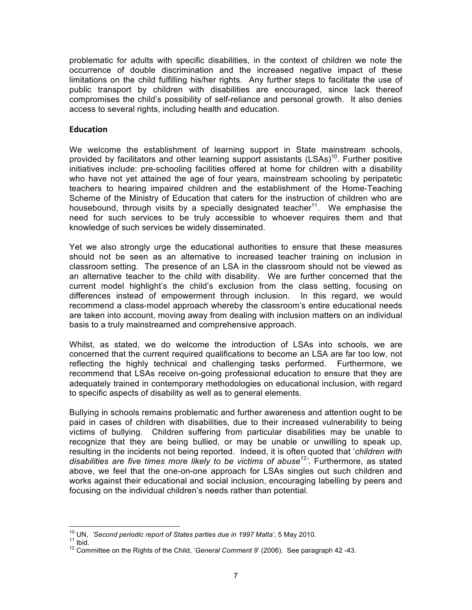problematic for adults with specific disabilities, in the context of children we note the occurrence of double discrimination and the increased negative impact of these limitations on the child fulfilling his/her rights. Any further steps to facilitate the use of public transport by children with disabilities are encouraged, since lack thereof compromises the child's possibility of self-reliance and personal growth. It also denies access to several rights, including health and education.

#### **Education**

We welcome the establishment of learning support in State mainstream schools, provided by facilitators and other learning support assistants  $(LSAS)^{10}$ . Further positive initiatives include: pre-schooling facilities offered at home for children with a disability who have not yet attained the age of four years, mainstream schooling by peripatetic teachers to hearing impaired children and the establishment of the Home-Teaching Scheme of the Ministry of Education that caters for the instruction of children who are housebound, through visits by a specially designated teacher<sup>11</sup>. We emphasise the need for such services to be truly accessible to whoever requires them and that knowledge of such services be widely disseminated.

Yet we also strongly urge the educational authorities to ensure that these measures should not be seen as an alternative to increased teacher training on inclusion in classroom setting. The presence of an LSA in the classroom should not be viewed as an alternative teacher to the child with disability. We are further concerned that the current model highlight's the child's exclusion from the class setting, focusing on differences instead of empowerment through inclusion. In this regard, we would recommend a class-model approach whereby the classroom's entire educational needs are taken into account, moving away from dealing with inclusion matters on an individual basis to a truly mainstreamed and comprehensive approach.

Whilst, as stated, we do welcome the introduction of LSAs into schools, we are concerned that the current required qualifications to become an LSA are far too low, not reflecting the highly technical and challenging tasks performed. Furthermore, we recommend that LSAs receive on-going professional education to ensure that they are adequately trained in contemporary methodologies on educational inclusion, with regard to specific aspects of disability as well as to general elements.

Bullying in schools remains problematic and further awareness and attention ought to be paid in cases of children with disabilities, due to their increased vulnerability to being victims of bullying. Children suffering from particular disabilities may be unable to recognize that they are being bullied, or may be unable or unwilling to speak up, resulting in the incidents not being reported. Indeed, it is often quoted that '*children with disabilities are five times more likely to be victims of abuse12'*. Furthermore, as stated above, we feel that the one-on-one approach for LSAs singles out such children and works against their educational and social inclusion, encouraging labelling by peers and focusing on the individual children's needs rather than potential.

<sup>&</sup>lt;sup>10</sup> UN, *'Second periodic report of States parties due in 1997 Malta'*, 5 May 2010.<br><sup>11</sup> Ibid.<br><sup>12</sup> Committee on the Rights of the Child, '*General Comment 9'* (2006). See paragraph 42 -43.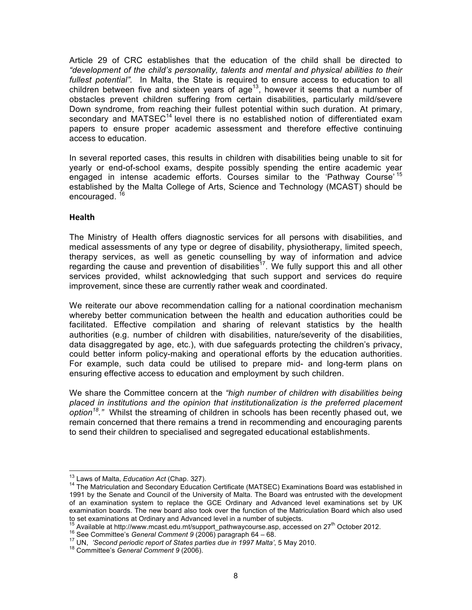Article 29 of CRC establishes that the education of the child shall be directed to *"development of the child's personality, talents and mental and physical abilities to their fullest potential".* In Malta, the State is required to ensure access to education to all children between five and sixteen years of  $age<sup>13</sup>$ , however it seems that a number of obstacles prevent children suffering from certain disabilities, particularly mild/severe Down syndrome, from reaching their fullest potential within such duration. At primary, secondary and MATSEC<sup>14</sup> level there is no established notion of differentiated exam papers to ensure proper academic assessment and therefore effective continuing access to education.

In several reported cases, this results in children with disabilities being unable to sit for yearly or end-of-school exams, despite possibly spending the entire academic year engaged in intense academic efforts. Courses similar to the 'Pathway Course'<sup>15</sup> established by the Malta College of Arts, Science and Technology (MCAST) should be encouraged.<sup>16</sup>

#### **Health**

The Ministry of Health offers diagnostic services for all persons with disabilities, and medical assessments of any type or degree of disability, physiotherapy, limited speech, therapy services, as well as genetic counselling by way of information and advice regarding the cause and prevention of disabilities<sup>17</sup>. We fully support this and all other services provided, whilst acknowledging that such support and services do require improvement, since these are currently rather weak and coordinated.

We reiterate our above recommendation calling for a national coordination mechanism whereby better communication between the health and education authorities could be facilitated. Effective compilation and sharing of relevant statistics by the health authorities (e.g. number of children with disabilities, nature/severity of the disabilities, data disaggregated by age, etc.), with due safeguards protecting the children's privacy, could better inform policy-making and operational efforts by the education authorities. For example, such data could be utilised to prepare mid- and long-term plans on ensuring effective access to education and employment by such children.

We share the Committee concern at the *"high number of children with disabilities being placed in institutions and the opinion that institutionalization is the preferred placement option18."* Whilst the streaming of children in schools has been recently phased out, we remain concerned that there remains a trend in recommending and encouraging parents to send their children to specialised and segregated educational establishments.

<sup>&</sup>lt;sup>13</sup> Laws of Malta, *Education Act* (Chap. 327).<br><sup>14</sup> The Matriculation and Secondary Education Certificate (MATSEC) Examinations Board was established in 1991 by the Senate and Council of the University of Malta. The Board was entrusted with the development of an examination system to replace the GCE Ordinary and Advanced level examinations set by UK examination boards. The new board also took over the function of the Matriculation Board which also used

to set examinations at Ordinary and Advanced level in a number of subjects.<br>
<sup>15</sup> Available at http://www.mcast.edu.mt/support\_pathwaycourse.asp, accessed on 27<sup>th</sup> October 2012.<br>
<sup>16</sup> See Committee's *General Comment 9 (*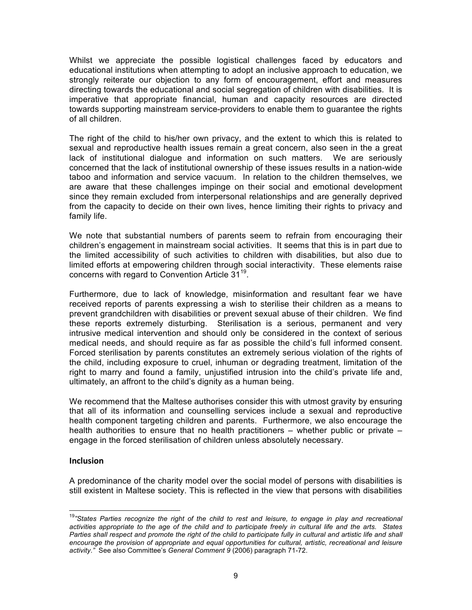Whilst we appreciate the possible logistical challenges faced by educators and educational institutions when attempting to adopt an inclusive approach to education, we strongly reiterate our objection to any form of encouragement, effort and measures directing towards the educational and social segregation of children with disabilities. It is imperative that appropriate financial, human and capacity resources are directed towards supporting mainstream service-providers to enable them to guarantee the rights of all children.

The right of the child to his/her own privacy, and the extent to which this is related to sexual and reproductive health issues remain a great concern, also seen in the a great lack of institutional dialogue and information on such matters. We are seriously concerned that the lack of institutional ownership of these issues results in a nation-wide taboo and information and service vacuum. In relation to the children themselves, we are aware that these challenges impinge on their social and emotional development since they remain excluded from interpersonal relationships and are generally deprived from the capacity to decide on their own lives, hence limiting their rights to privacy and family life.

We note that substantial numbers of parents seem to refrain from encouraging their children's engagement in mainstream social activities. It seems that this is in part due to the limited accessibility of such activities to children with disabilities, but also due to limited efforts at empowering children through social interactivity. These elements raise concerns with regard to Convention Article 31<sup>19</sup>.

Furthermore, due to lack of knowledge, misinformation and resultant fear we have received reports of parents expressing a wish to sterilise their children as a means to prevent grandchildren with disabilities or prevent sexual abuse of their children. We find these reports extremely disturbing. Sterilisation is a serious, permanent and very intrusive medical intervention and should only be considered in the context of serious medical needs, and should require as far as possible the child's full informed consent. Forced sterilisation by parents constitutes an extremely serious violation of the rights of the child, including exposure to cruel, inhuman or degrading treatment, limitation of the right to marry and found a family, unjustified intrusion into the child's private life and, ultimately, an affront to the child's dignity as a human being.

We recommend that the Maltese authorises consider this with utmost gravity by ensuring that all of its information and counselling services include a sexual and reproductive health component targeting children and parents. Furthermore, we also encourage the health authorities to ensure that no health practitioners – whether public or private – engage in the forced sterilisation of children unless absolutely necessary.

#### **Inclusion**

A predominance of the charity model over the social model of persons with disabilities is still existent in Maltese society. This is reflected in the view that persons with disabilities

 <sup>19</sup>*"States Parties recognize the right of the child to rest and leisure, to engage in play and recreational activities appropriate to the age of the child and to participate freely in cultural life and the arts. States*  Parties shall respect and promote the right of the child to participate fully in cultural and artistic life and shall encourage the provision of appropriate and equal opportunities for cultural, artistic, recreational and leisure *activity*.*"* See also Committee's *General Comment 9* (2006) paragraph 71-72.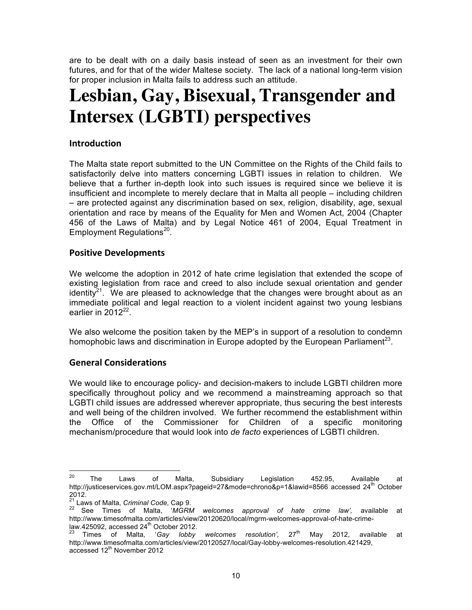are to be dealt with on a daily basis instead of seen as an investment for their own futures, and for that of the wider Maltese society. The lack of a national long-term vision for proper inclusion in Malta fails to address such an attitude.

### **Lesbian, Gay, Bisexual, Transgender and Intersex (LGBTI) perspectives**

#### **Introduction**

The Malta state report submitted to the UN Committee on the Rights of the Child fails to satisfactorily delve into matters concerning LGBTI issues in relation to children. We believe that a further in-depth look into such issues is required since we believe it is insufficient and incomplete to merely declare that in Malta all people – including children – are protected against any discrimination based on sex, religion, disability, age, sexual orientation and race by means of the Equality for Men and Women Act, 2004 (Chapter 456 of the Laws of Malta) and by Legal Notice 461 of 2004, Equal Treatment in Employment Regulations<sup>20</sup>.

#### **Positive Developments**

We welcome the adoption in 2012 of hate crime legislation that extended the scope of existing legislation from race and creed to also include sexual orientation and gender identity<sup>21</sup>. We are pleased to acknowledge that the changes were brought about as an immediate political and legal reaction to a violent incident against two young lesbians earlier in  $2012^{22}$ .

We also welcome the position taken by the MEP's in support of a resolution to condemn homophobic laws and discrimination in Europe adopted by the European Parliament<sup>23</sup>.

#### **General Considerations**

We would like to encourage policy- and decision-makers to include LGBTI children more specifically throughout policy and we recommend a mainstreaming approach so that LGBTI child issues are addressed wherever appropriate, thus securing the best interests and well being of the children involved. We further recommend the establishment within the Office of the Commissioner for Children of a specific monitoring mechanism/procedure that would look into *de facto* experiences of LGBTI children.

 <sup>20</sup> The Laws of Malta, Subsidiary Legislation 452.95, Available at http://justiceservices.gov.mt/LOM.aspx?pageid=27&mode=chrono&p=1&lawid=8566 accessed 24<sup>th</sup> October 2012.<br><sup>21</sup> Laws of Malta, Criminal Code, Cap 9.<br><sup>22</sup> Soc. Time

<sup>21</sup> Laws of Malta, *Criminal Code*, Cap 9. <sup>22</sup> See Times of Malta, '*MGRM welcomes approval of hate crime law',* available at http://www.timesofmalta.com/articles/view/20120620/local/mgrm-welcomes-approval-of-hate-crime-

law.425092, accessed 24<sup>th</sup> October 2012.<br><sup>23</sup> Times of Malta, *'Gay lobby welcomes resolution',* 27<sup>th</sup> May 2012, available at http://www.timesofmalta.com/articles/view/20120527/local/Gay-lobby-welcomes-resolution.421429, accessed 12<sup>th</sup> November 2012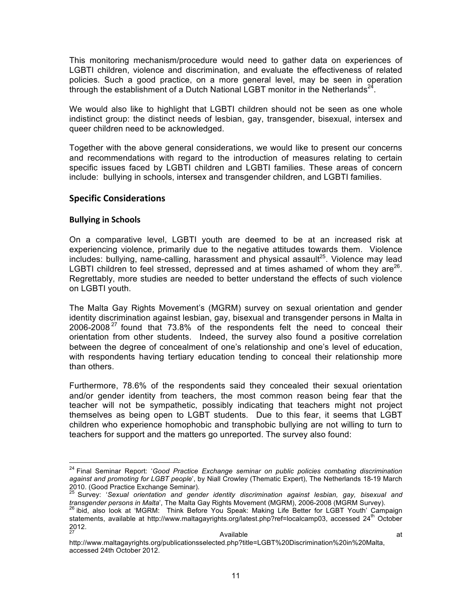This monitoring mechanism/procedure would need to gather data on experiences of LGBTI children, violence and discrimination, and evaluate the effectiveness of related policies. Such a good practice, on a more general level, may be seen in operation through the establishment of a Dutch National LGBT monitor in the Netherlands<sup>2</sup>

We would also like to highlight that LGBTI children should not be seen as one whole indistinct group: the distinct needs of lesbian, gay, transgender, bisexual, intersex and queer children need to be acknowledged.

Together with the above general considerations, we would like to present our concerns and recommendations with regard to the introduction of measures relating to certain specific issues faced by LGBTI children and LGBTI families. These areas of concern include: bullying in schools, intersex and transgender children, and LGBTI families.

#### **Specific Considerations**

#### **Bullying in Schools**

On a comparative level, LGBTI youth are deemed to be at an increased risk at experiencing violence, primarily due to the negative attitudes towards them. Violence includes: bullving, name-calling, harassment and physical assault<sup>25</sup>. Violence may lead LGBTI children to feel stressed, depressed and at times ashamed of whom they are<sup>26</sup>. Regrettably, more studies are needed to better understand the effects of such violence on LGBTI youth.

The Malta Gay Rights Movement's (MGRM) survey on sexual orientation and gender identity discrimination against lesbian, gay, bisexual and transgender persons in Malta in 2006-2008<sup>27</sup> found that 73.8% of the respondents felt the need to conceal their orientation from other students. Indeed, the survey also found a positive correlation between the degree of concealment of one's relationship and one's level of education, with respondents having tertiary education tending to conceal their relationship more than others.

Furthermore, 78.6% of the respondents said they concealed their sexual orientation and/or gender identity from teachers, the most common reason being fear that the teacher will not be sympathetic, possibly indicating that teachers might not project themselves as being open to LGBT students. Due to this fear, it seems that LGBT children who experience homophobic and transphobic bullying are not willing to turn to teachers for support and the matters go unreported. The survey also found:

 <sup>24</sup> Final Seminar Report: '*Good Practice Exchange seminar on public policies combating discrimination against and promoting for LGBT people*', by Niall Crowley (Thematic Expert), The Netherlands 18-19 March 2010. (Good Practice Exchange Seminar).

<sup>25</sup> Survey: '*Sexual orientation and gender identity discrimination against lesbian, gay, bisexual and transgender persons in Malta*', The Malta Gay Rights Movement (MGRM), 2006-2008 (MGRM Survey). <sup>26</sup> ibid, also look at 'MGRM: Think Before You Speak: Making Life Better for LGBT Youth' Campaign

statements, available at http://www.maltagayrights.org/latest.php?ref=localcamp03, accessed 24<sup>th</sup> October  $\frac{2012}{27}$  $27$  at  $27$  at  $4$  Available  $27$ 

http://www.maltagayrights.org/publicationsselected.php?title=LGBT%20Discrimination%20in%20Malta, accessed 24th October 2012.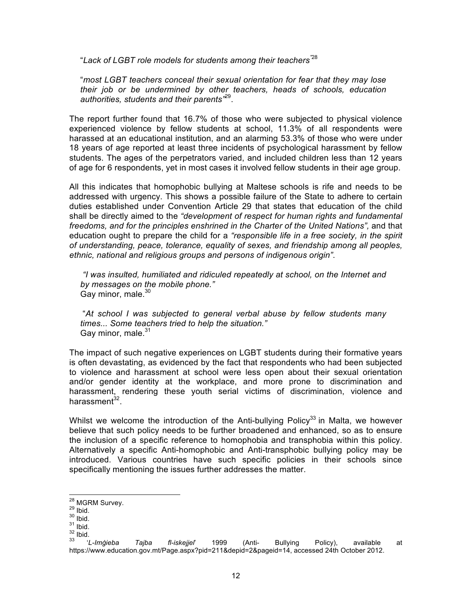"*Lack of LGBT role models for students among their teachers"*<sup>28</sup>

"*most LGBT teachers conceal their sexual orientation for fear that they may lose their job or be undermined by other teachers, heads of schools, education authorities, students and their parents"*29.

The report further found that 16.7% of those who were subjected to physical violence experienced violence by fellow students at school, 11.3% of all respondents were harassed at an educational institution, and an alarming 53.3% of those who were under 18 years of age reported at least three incidents of psychological harassment by fellow students. The ages of the perpetrators varied, and included children less than 12 years of age for 6 respondents, yet in most cases it involved fellow students in their age group.

All this indicates that homophobic bullying at Maltese schools is rife and needs to be addressed with urgency. This shows a possible failure of the State to adhere to certain duties established under Convention Article 29 that states that education of the child shall be directly aimed to the *"development of respect for human rights and fundamental freedoms, and for the principles enshrined in the Charter of the United Nations",* and that education ought to prepare the child for a *"responsible life in a free society, in the spirit of understanding, peace, tolerance, equality of sexes, and friendship among all peoples, ethnic, national and religious groups and persons of indigenous origin"*.

*"I was insulted, humiliated and ridiculed repeatedly at school, on the Internet and by messages on the mobile phone."* Gay minor, male.<sup>30</sup>

"*At school I was subjected to general verbal abuse by fellow students many times... Some teachers tried to help the situation."*  Gay minor, male.<sup>31</sup>

The impact of such negative experiences on LGBT students during their formative years is often devastating, as evidenced by the fact that respondents who had been subjected to violence and harassment at school were less open about their sexual orientation and/or gender identity at the workplace, and more prone to discrimination and harassment, rendering these youth serial victims of discrimination, violence and harassment $32$ .

Whilst we welcome the introduction of the Anti-bullying Policy<sup>33</sup> in Malta, we however believe that such policy needs to be further broadened and enhanced, so as to ensure the inclusion of a specific reference to homophobia and transphobia within this policy. Alternatively a specific Anti-homophobic and Anti-transphobic bullying policy may be introduced. Various countries have such specific policies in their schools since specifically mentioning the issues further addresses the matter.

<sup>&</sup>lt;sup>28</sup> MGRM Survey.<br><sup>29</sup> Ibid.<br><sup>30</sup> Ibid.<br><sup>31</sup> Ibid.<br><sup>33</sup> *'L-Imġieba Tajba fl-iskejjel'* 1999 (Anti- Bullying Policy), available at https://www.education.gov.mt/Page.aspx?pid=211&depid=2&pageid=14, accessed 24th October 2012.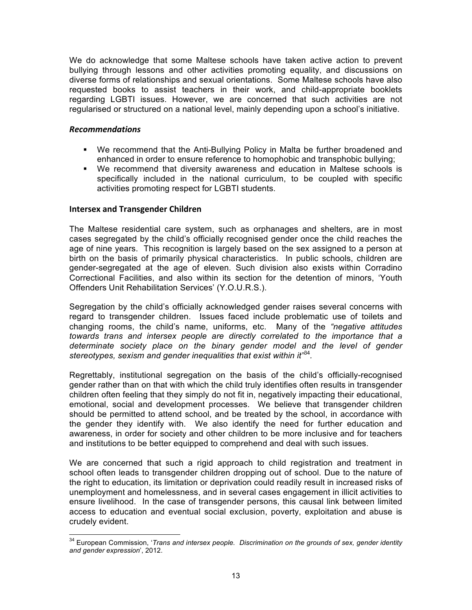We do acknowledge that some Maltese schools have taken active action to prevent bullying through lessons and other activities promoting equality, and discussions on diverse forms of relationships and sexual orientations. Some Maltese schools have also requested books to assist teachers in their work, and child-appropriate booklets regarding LGBTI issues. However, we are concerned that such activities are not regularised or structured on a national level, mainly depending upon a school's initiative.

#### *Recommendations*

- § We recommend that the Anti-Bullying Policy in Malta be further broadened and enhanced in order to ensure reference to homophobic and transphobic bullying;
- § We recommend that diversity awareness and education in Maltese schools is specifically included in the national curriculum, to be coupled with specific activities promoting respect for LGBTI students.

#### **Intersex and Transgender Children**

The Maltese residential care system, such as orphanages and shelters, are in most cases segregated by the child's officially recognised gender once the child reaches the age of nine years. This recognition is largely based on the sex assigned to a person at birth on the basis of primarily physical characteristics. In public schools, children are gender-segregated at the age of eleven. Such division also exists within Corradino Correctional Facilities, and also within its section for the detention of minors, 'Youth Offenders Unit Rehabilitation Services' (Y.O.U.R.S.).

Segregation by the child's officially acknowledged gender raises several concerns with regard to transgender children. Issues faced include problematic use of toilets and changing rooms, the child's name, uniforms, etc. Many of the *"negative attitudes towards trans and intersex people are directly correlated to the importance that a*  determinate society place on the binary gender model and the level of gender *stereotypes, sexism and gender inequalities that exist within it"*<sup>34</sup>*.* 

Regrettably, institutional segregation on the basis of the child's officially-recognised gender rather than on that with which the child truly identifies often results in transgender children often feeling that they simply do not fit in, negatively impacting their educational, emotional, social and development processes. We believe that transgender children should be permitted to attend school, and be treated by the school, in accordance with the gender they identify with. We also identify the need for further education and awareness, in order for society and other children to be more inclusive and for teachers and institutions to be better equipped to comprehend and deal with such issues.

We are concerned that such a rigid approach to child registration and treatment in school often leads to transgender children dropping out of school. Due to the nature of the right to education, its limitation or deprivation could readily result in increased risks of unemployment and homelessness, and in several cases engagement in illicit activities to ensure livelihood. In the case of transgender persons, this causal link between limited access to education and eventual social exclusion, poverty, exploitation and abuse is crudely evident.

 <sup>34</sup> European Commission, '*Trans and intersex people. Discrimination on the grounds of sex, gender identity and gender expression*', 2012.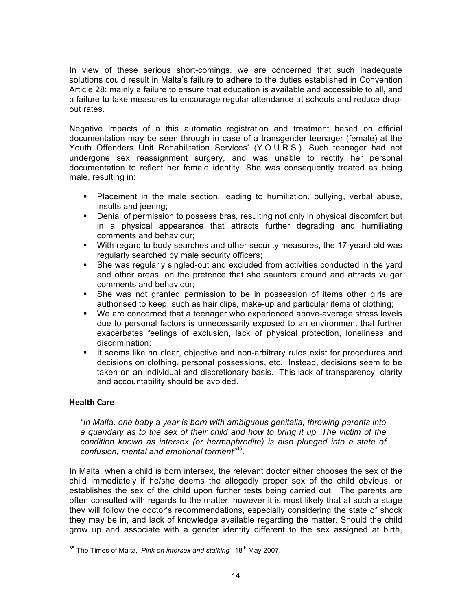In view of these serious short-comings, we are concerned that such inadequate solutions could result in Malta's failure to adhere to the duties established in Convention Article 28: mainly a failure to ensure that education is available and accessible to all, and a failure to take measures to encourage regular attendance at schools and reduce dropout rates.

Negative impacts of a this automatic registration and treatment based on official documentation may be seen through in case of a transgender teenager (female) at the Youth Offenders Unit Rehabilitation Services' (Y.O.U.R.S.). Such teenager had not undergone sex reassignment surgery, and was unable to rectify her personal documentation to reflect her female identity. She was consequently treated as being male, resulting in:

- § Placement in the male section, leading to humiliation, bullying, verbal abuse, insults and jeering;
- Denial of permission to possess bras, resulting not only in physical discomfort but in a physical appearance that attracts further degrading and humiliating comments and behaviour;
- § With regard to body searches and other security measures, the 17-yeard old was regularly searched by male security officers;
- She was regularly singled-out and excluded from activities conducted in the yard and other areas, on the pretence that she saunters around and attracts vulgar comments and behaviour;
- She was not granted permission to be in possession of items other girls are authorised to keep, such as hair clips, make-up and particular items of clothing;
- We are concerned that a teenager who experienced above-average stress levels due to personal factors is unnecessarily exposed to an environment that further exacerbates feelings of exclusion, lack of physical protection, loneliness and discrimination;
- **•** It seems like no clear, objective and non-arbitrary rules exist for procedures and decisions on clothing, personal possessions, etc. Instead, decisions seem to be taken on an individual and discretionary basis. This lack of transparency, clarity and accountability should be avoided.

#### **Health Care**

*"In Malta, one baby a year is born with ambiguous genitalia, throwing parents into a quandary as to the sex of their child and how to bring it up. The victim of the condition known as intersex (or hermaphrodite) is also plunged into a state of confusion, mental and emotional torment"*<sup>35</sup>*.*

In Malta, when a child is born intersex, the relevant doctor either chooses the sex of the child immediately if he/she deems the allegedly proper sex of the child obvious, or establishes the sex of the child upon further tests being carried out. The parents are often consulted with regards to the matter, however it is most likely that at such a stage they will follow the doctor's recommendations, especially considering the state of shock they may be in, and lack of knowledge available regarding the matter. Should the child grow up and associate with a gender identity different to the sex assigned at birth,

<sup>&</sup>lt;sup>35</sup> The Times of Malta, '*Pink on intersex and stalking*', 18<sup>th</sup> May 2007.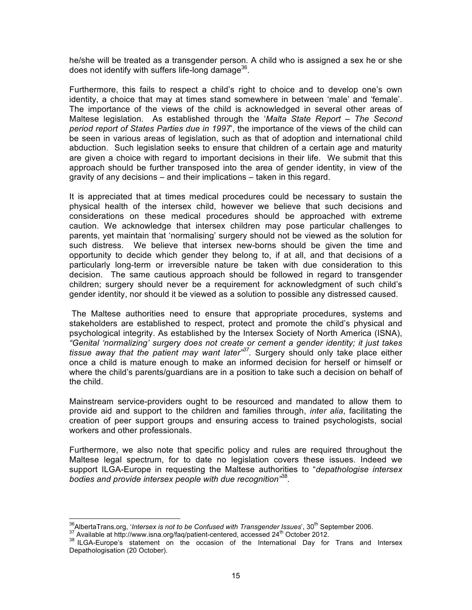he/she will be treated as a transgender person. A child who is assigned a sex he or she does not identify with suffers life-long damage $^{36}$ .

Furthermore, this fails to respect a child's right to choice and to develop one's own identity, a choice that may at times stand somewhere in between 'male' and 'female'. The importance of the views of the child is acknowledged in several other areas of Maltese legislation. As established through the '*Malta State Report – The Second period report of States Parties due in 1997*', the importance of the views of the child can be seen in various areas of legislation, such as that of adoption and international child abduction. Such legislation seeks to ensure that children of a certain age and maturity are given a choice with regard to important decisions in their life. We submit that this approach should be further transposed into the area of gender identity, in view of the gravity of any decisions – and their implications – taken in this regard.

It is appreciated that at times medical procedures could be necessary to sustain the physical health of the intersex child, however we believe that such decisions and considerations on these medical procedures should be approached with extreme caution. We acknowledge that intersex children may pose particular challenges to parents, yet maintain that 'normalising' surgery should not be viewed as the solution for such distress. We believe that intersex new-borns should be given the time and opportunity to decide which gender they belong to, if at all, and that decisions of a particularly long-term or irreversible nature be taken with due consideration to this decision. The same cautious approach should be followed in regard to transgender children; surgery should never be a requirement for acknowledgment of such child's gender identity, nor should it be viewed as a solution to possible any distressed caused.

The Maltese authorities need to ensure that appropriate procedures, systems and stakeholders are established to respect, protect and promote the child's physical and psychological integrity. As established by the Intersex Society of North America (ISNA), *"Genital 'normalizing' surgery does not create or cement a gender identity; it just takes tissue away that the patient may want later"37.* Surgery should only take place either once a child is mature enough to make an informed decision for herself or himself or where the child's parents/guardians are in a position to take such a decision on behalf of the child.

Mainstream service-providers ought to be resourced and mandated to allow them to provide aid and support to the children and families through, *inter alia*, facilitating the creation of peer support groups and ensuring access to trained psychologists, social workers and other professionals.

Furthermore, we also note that specific policy and rules are required throughout the Maltese legal spectrum, for to date no legislation covers these issues. Indeed we support ILGA-Europe in requesting the Maltese authorities to "*depathologise intersex bodies and provide intersex people with due recognition"*<sup>38</sup>*.*

<sup>&</sup>lt;sup>36</sup>AlbertaTrans.org, '*Intersex is not to be Confused with Transgender Issues*', 30<sup>th</sup> September 2006.<br><sup>37</sup> Available at http://www.isna.org/faq/patient-centered, accessed 24<sup>th</sup> October 2012.<br><sup>38</sup> ILGA-Europe's stateme Depathologisation (20 October).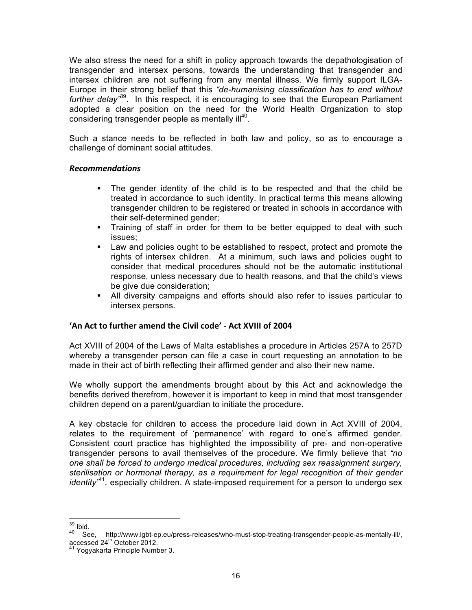We also stress the need for a shift in policy approach towards the depathologisation of transgender and intersex persons, towards the understanding that transgender and intersex children are not suffering from any mental illness. We firmly support ILGA-Europe in their strong belief that this *"de-humanising classification has to end without further delay"*39. In this respect, it is encouraging to see that the European Parliament adopted a clear position on the need for the World Health Organization to stop considering transgender people as mentally ill<sup>40</sup>.

Such a stance needs to be reflected in both law and policy, so as to encourage a challenge of dominant social attitudes.

#### *Recommendations*

- The gender identity of the child is to be respected and that the child be treated in accordance to such identity. In practical terms this means allowing transgender children to be registered or treated in schools in accordance with their self-determined gender;
- Training of staff in order for them to be better equipped to deal with such issues;
- Law and policies ought to be established to respect, protect and promote the rights of intersex children. At a minimum, such laws and policies ought to consider that medical procedures should not be the automatic institutional response, unless necessary due to health reasons, and that the child's views be give due consideration;
- § All diversity campaigns and efforts should also refer to issues particular to intersex persons.

#### **'An Act to further amend the Civil code' - Act XVIII of 2004**

Act XVIII of 2004 of the Laws of Malta establishes a procedure in Articles 257A to 257D whereby a transgender person can file a case in court requesting an annotation to be made in their act of birth reflecting their affirmed gender and also their new name.

We wholly support the amendments brought about by this Act and acknowledge the benefits derived therefrom, however it is important to keep in mind that most transgender children depend on a parent/guardian to initiate the procedure.

A key obstacle for children to access the procedure laid down in Act XVIII of 2004, relates to the requirement of 'permanence' with regard to one's affirmed gender. Consistent court practice has highlighted the impossibility of pre- and non-operative transgender persons to avail themselves of the procedure. We firmly believe that *"no one shall be forced to undergo medical procedures, including sex reassignment surgery, sterilisation or hormonal therapy, as a requirement for legal recognition of their gender identity"*<sup>41</sup>*,* especially children. A state-imposed requirement for a person to undergo sex

<sup>&</sup>lt;sup>39</sup> Ibid.<br><sup>40</sup> See, http://www.lgbt-ep.eu/press-releases/who-must-stop-treating-transgender-people-as-mentally-ill/,<br>accessed 24<sup>th</sup> October 2012.

Yogyakarta Principle Number 3.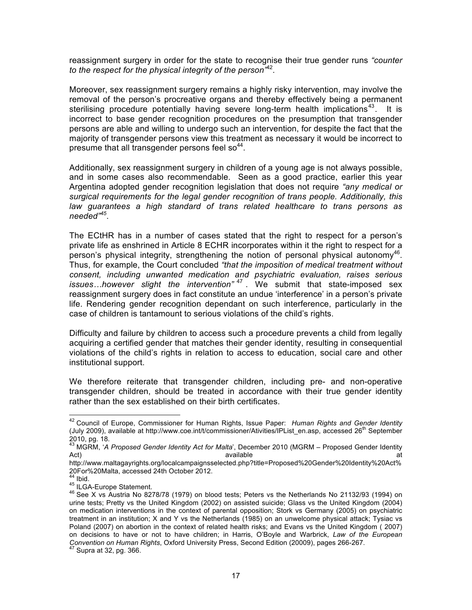reassignment surgery in order for the state to recognise their true gender runs *"counter to the respect for the physical integrity of the person"*<sup>42</sup>*.*

Moreover, sex reassignment surgery remains a highly risky intervention, may involve the removal of the person's procreative organs and thereby effectively being a permanent sterilising procedure potentially having severe long-term health implications<sup>43</sup>. It is incorrect to base gender recognition procedures on the presumption that transgender persons are able and willing to undergo such an intervention, for despite the fact that the majority of transgender persons view this treatment as necessary it would be incorrect to presume that all transgender persons feel so $44$ .

Additionally, sex reassignment surgery in children of a young age is not always possible, and in some cases also recommendable. Seen as a good practice, earlier this year Argentina adopted gender recognition legislation that does not require *"any medical or surgical requirements for the legal gender recognition of trans people. Additionally, this law guarantees a high standard of trans related healthcare to trans persons as needed"<sup>45</sup>*.

The ECtHR has in a number of cases stated that the right to respect for a person's private life as enshrined in Article 8 ECHR incorporates within it the right to respect for a person's physical integrity, strengthening the notion of personal physical autonomy<sup>46</sup>. Thus, for example, the Court concluded *"that the imposition of medical treatment without consent, including unwanted medication and psychiatric evaluation, raises serious issues…however slight the intervention"* <sup>47</sup> . We submit that state-imposed sex reassignment surgery does in fact constitute an undue 'interference' in a person's private life. Rendering gender recognition dependant on such interference, particularly in the case of children is tantamount to serious violations of the child's rights.

Difficulty and failure by children to access such a procedure prevents a child from legally acquiring a certified gender that matches their gender identity, resulting in consequential violations of the child's rights in relation to access to education, social care and other institutional support.

We therefore reiterate that transgender children, including pre- and non-operative transgender children, should be treated in accordance with their true gender identity rather than the sex established on their birth certificates.

 <sup>42</sup> Council of Europe, Commissioner for Human Rights, Issue Paper: *Human Rights and Gender Identity*  (July 2009), available at http://www.coe.int/t/commissioner/Ativities/IPList\_en.asp, accessed 26<sup>th</sup> September 2010, pg. 18.

<sup>43</sup> MGRM, '*A Proposed Gender Identity Act for Malta*', December 2010 (MGRM – Proposed Gender Identity Act) available at the set of the set of the set of the set of the set of the set of the set of the set of the s

http://www.maltagayrights.org/localcampaignsselected.php?title=Proposed%20Gender%20Identity%20Act%<br>20For%20Malta, accessed 24th October 2012.

<sup>&</sup>lt;sup>44</sup> Ibid.<br><sup>45</sup> ILGA-Europe Statement.<br><sup>46</sup> See X vs Austria No 8278/78 (1979) on blood tests; Peters vs the Netherlands No 21132/93 (1994) on urine tests; Pretty vs the United Kingdom (2002) on assisted suicide; Glass vs the United Kingdom (2004) on medication interventions in the context of parental opposition; Stork vs Germany (2005) on psychiatric treatment in an institution; X and Y vs the Netherlands (1985) on an unwelcome physical attack; Tysiac vs Poland (2007) on abortion in the context of related health risks; and Evans vs the United Kingdom ( 2007) on decisions to have or not to have children; in Harris, O'Boyle and Warbrick, *Law of the European Convention on Human Rights*, Oxford University Press, Second Edition (20009), pages 266-267.<br><sup>47</sup> Supra at 32, pg. 366.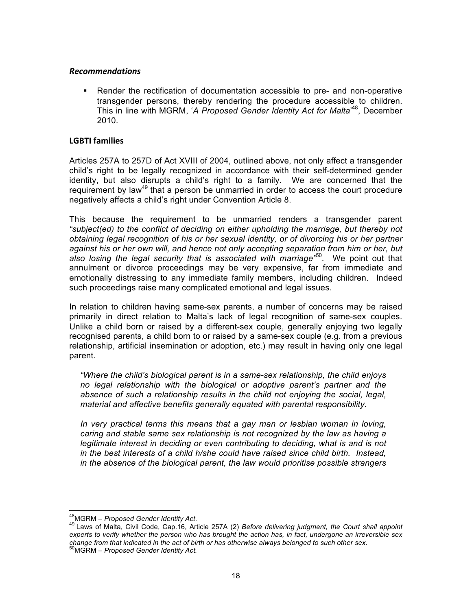#### *Recommendations*

§ Render the rectification of documentation accessible to pre- and non-operative transgender persons, thereby rendering the procedure accessible to children. This in line with MGRM, 'A Proposed Gender Identity Act for Malta'<sup>48</sup>, December 2010.

#### **LGBTI families**

Articles 257A to 257D of Act XVIII of 2004, outlined above, not only affect a transgender child's right to be legally recognized in accordance with their self-determined gender identity, but also disrupts a child's right to a family. We are concerned that the requirement by law<sup>49</sup> that a person be unmarried in order to access the court procedure negatively affects a child's right under Convention Article 8.

This because the requirement to be unmarried renders a transgender parent *"subject(ed) to the conflict of deciding on either upholding the marriage, but thereby not obtaining legal recognition of his or her sexual identity, or of divorcing his or her partner against his or her own will, and hence not only accepting separation from him or her, but also losing the legal security that is associated with marriage"*<sup>50</sup>*.* We point out that annulment or divorce proceedings may be very expensive, far from immediate and emotionally distressing to any immediate family members, including children. Indeed such proceedings raise many complicated emotional and legal issues.

In relation to children having same-sex parents, a number of concerns may be raised primarily in direct relation to Malta's lack of legal recognition of same-sex couples. Unlike a child born or raised by a different-sex couple, generally enjoying two legally recognised parents, a child born to or raised by a same-sex couple (e.g. from a previous relationship, artificial insemination or adoption, etc.) may result in having only one legal parent.

*"Where the child's biological parent is in a same-sex relationship, the child enjoys no legal relationship with the biological or adoptive parent's partner and the absence of such a relationship results in the child not enjoying the social, legal, material and affective benefits generally equated with parental responsibility.* 

*In very practical terms this means that a gay man or lesbian woman in loving, caring and stable same sex relationship is not recognized by the law as having a legitimate interest in deciding or even contributing to deciding, what is and is not in the best interests of a child h/she could have raised since child birth. Instead, in the absence of the biological parent, the law would prioritise possible strangers* 

<sup>&</sup>lt;sup>48</sup>MGRM – *Proposed Gender Identity Act*.<br><sup>49</sup> Laws of Malta, Civil Code, Cap.16, Article 257A (2) *Before delivering judgment, the Court shall appoint experts to verify whether the person who has brought the action has, in fact, undergone an irreversible sex change from that indicated in the act of birth or has otherwise always belonged to such other sex*. 50MGRM – *Proposed Gender Identity Act.*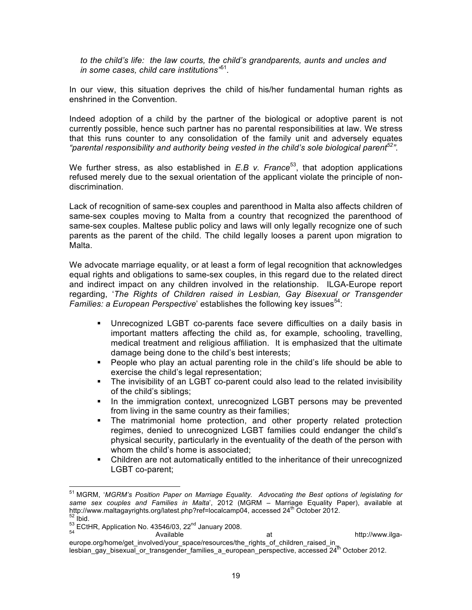*to the child's life: the law courts, the child's grandparents, aunts and uncles and in some cases, child care institutions"*<sup>51</sup>*.* 

In our view, this situation deprives the child of his/her fundamental human rights as enshrined in the Convention.

Indeed adoption of a child by the partner of the biological or adoptive parent is not currently possible, hence such partner has no parental responsibilities at law. We stress that this runs counter to any consolidation of the family unit and adversely equates *"parental responsibility and authority being vested in the child's sole biological parent52".* 

We further stress, as also established in *E.B v. France*<sup>53</sup>, that adoption applications refused merely due to the sexual orientation of the applicant violate the principle of nondiscrimination.

Lack of recognition of same-sex couples and parenthood in Malta also affects children of same-sex couples moving to Malta from a country that recognized the parenthood of same-sex couples. Maltese public policy and laws will only legally recognize one of such parents as the parent of the child. The child legally looses a parent upon migration to Malta.

We advocate marriage equality, or at least a form of legal recognition that acknowledges equal rights and obligations to same-sex couples, in this regard due to the related direct and indirect impact on any children involved in the relationship. ILGA-Europe report regarding, '*The Rights of Children raised in Lesbian, Gay Bisexual or Transgender Families: a European Perspective'* establishes the following key issues<sup>54</sup>:

- § Unrecognized LGBT co-parents face severe difficulties on a daily basis in important matters affecting the child as, for example, schooling, travelling, medical treatment and religious affiliation. It is emphasized that the ultimate damage being done to the child's best interests;
- People who play an actual parenting role in the child's life should be able to exercise the child's legal representation;
- The invisibility of an LGBT co-parent could also lead to the related invisibility of the child's siblings;
- In the immigration context, unrecognized LGBT persons may be prevented from living in the same country as their families;
- § The matrimonial home protection, and other property related protection regimes, denied to unrecognized LGBT families could endanger the child's physical security, particularly in the eventuality of the death of the person with whom the child's home is associated;
- § Children are not automatically entitled to the inheritance of their unrecognized LGBT co-parent;

 <sup>51</sup> MGRM, '*MGRM's Position Paper on Marriage Equality. Advocating the Best options of legislating for same sex couples and Families in Malta*', 2012 (MGRM – Marriage Equality Paper), available at http://www.maltagayrights.org/latest.php?ref=localcamp04, accessed 24<sup>th</sup> October 2012.<br><sup>52</sup> Ibid. 53 ECtHR, Application No. 43546/03, 22<sup>nd</sup> January 2008.<br>54 **Available at http://www.ilga-** Available at http://www.ilga-

europe.org/home/get\_involved/your\_space/resources/the\_rights\_of\_children\_raised\_in lesbian\_gay\_bisexual\_or\_transgender\_families\_a\_european\_perspective, accessed 24<sup>th</sup> October 2012.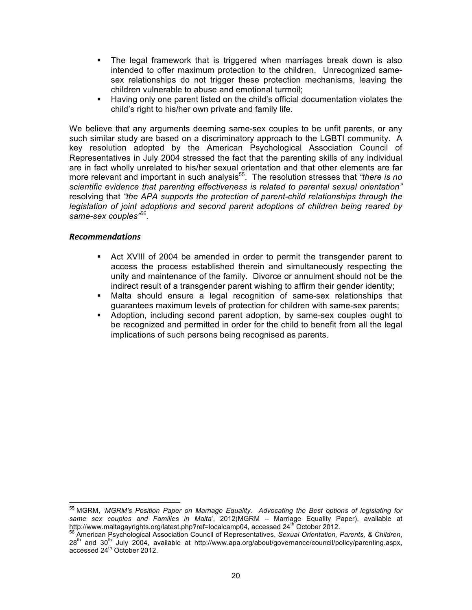- The legal framework that is triggered when marriages break down is also intended to offer maximum protection to the children. Unrecognized samesex relationships do not trigger these protection mechanisms, leaving the children vulnerable to abuse and emotional turmoil;
- § Having only one parent listed on the child's official documentation violates the child's right to his/her own private and family life.

We believe that any arguments deeming same-sex couples to be unfit parents, or any such similar study are based on a discriminatory approach to the LGBTI community. A key resolution adopted by the American Psychological Association Council of Representatives in July 2004 stressed the fact that the parenting skills of any individual are in fact wholly unrelated to his/her sexual orientation and that other elements are far more relevant and important in such analysis<sup>55</sup>. The resolution stresses that *"there is no scientific evidence that parenting effectiveness is related to parental sexual orientation"*  resolving that *"the APA supports the protection of parent-child relationships through the legislation of joint adoptions and second parent adoptions of children being reared by same-sex couples"*<sup>56</sup>*.* 

- § Act XVIII of 2004 be amended in order to permit the transgender parent to access the process established therein and simultaneously respecting the unity and maintenance of the family. Divorce or annulment should not be the indirect result of a transgender parent wishing to affirm their gender identity;
- § Malta should ensure a legal recognition of same-sex relationships that guarantees maximum levels of protection for children with same-sex parents;
- § Adoption, including second parent adoption, by same-sex couples ought to be recognized and permitted in order for the child to benefit from all the legal implications of such persons being recognised as parents.

 <sup>55</sup> MGRM, '*MGRM's Position Paper on Marriage Equality. Advocating the Best options of legislating for*  same sex couples and Families in Malta<sup>'</sup>, 2012(MGRM – Marriage Equality Paper), available at http://www.maltagavrights.org/latest.php?ref=localcamp04. accessed 24<sup>th</sup> October 2012.

http://www.maltagayrights.org/latest.php?referentiest.php?referentiest.php?referentation.php?referentation Parents, & Children, 28<sup>th</sup> and 30<sup>th</sup> July 2004, available at http://www.apa.org/about/governance/council/policy/parenting.aspx, accessed  $24^{th}$  October 2012.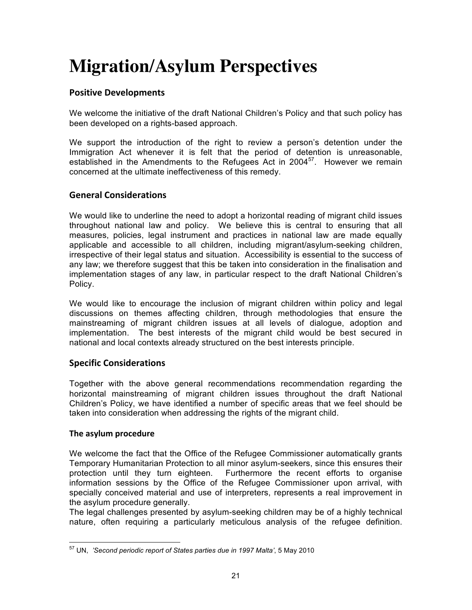# **Migration/Asylum Perspectives**

#### **Positive Developments**

We welcome the initiative of the draft National Children's Policy and that such policy has been developed on a rights-based approach.

We support the introduction of the right to review a person's detention under the Immigration Act whenever it is felt that the period of detention is unreasonable, established in the Amendments to the Refugees Act in 2004 $57$ . However we remain concerned at the ultimate ineffectiveness of this remedy.

#### **General Considerations**

We would like to underline the need to adopt a horizontal reading of migrant child issues throughout national law and policy. We believe this is central to ensuring that all measures, policies, legal instrument and practices in national law are made equally applicable and accessible to all children, including migrant/asylum-seeking children, irrespective of their legal status and situation. Accessibility is essential to the success of any law; we therefore suggest that this be taken into consideration in the finalisation and implementation stages of any law, in particular respect to the draft National Children's Policy.

We would like to encourage the inclusion of migrant children within policy and legal discussions on themes affecting children, through methodologies that ensure the mainstreaming of migrant children issues at all levels of dialogue, adoption and implementation. The best interests of the migrant child would be best secured in national and local contexts already structured on the best interests principle.

#### **Specific Considerations**

Together with the above general recommendations recommendation regarding the horizontal mainstreaming of migrant children issues throughout the draft National Children's Policy, we have identified a number of specific areas that we feel should be taken into consideration when addressing the rights of the migrant child.

#### **The asylum procedure**

We welcome the fact that the Office of the Refugee Commissioner automatically grants Temporary Humanitarian Protection to all minor asylum-seekers, since this ensures their protection until they turn eighteen. Furthermore the recent efforts to organise information sessions by the Office of the Refugee Commissioner upon arrival, with specially conceived material and use of interpreters, represents a real improvement in the asylum procedure generally.

The legal challenges presented by asylum-seeking children may be of a highly technical nature, often requiring a particularly meticulous analysis of the refugee definition.

 <sup>57</sup> UN, *'Second periodic report of States parties due in 1997 Malta'*, 5 May 2010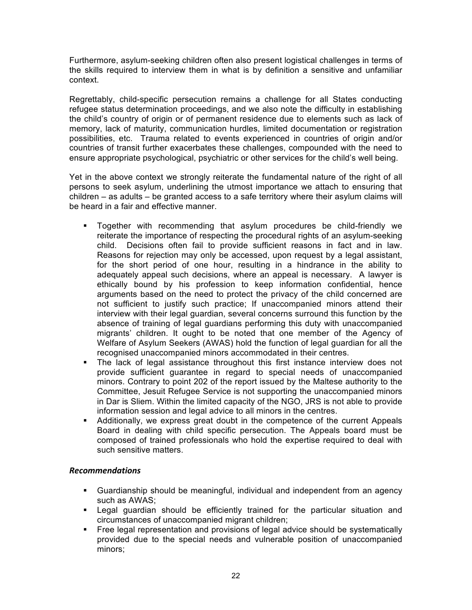Furthermore, asylum-seeking children often also present logistical challenges in terms of the skills required to interview them in what is by definition a sensitive and unfamiliar context.

Regrettably, child-specific persecution remains a challenge for all States conducting refugee status determination proceedings, and we also note the difficulty in establishing the child's country of origin or of permanent residence due to elements such as lack of memory, lack of maturity, communication hurdles, limited documentation or registration possibilities, etc. Trauma related to events experienced in countries of origin and/or countries of transit further exacerbates these challenges, compounded with the need to ensure appropriate psychological, psychiatric or other services for the child's well being.

Yet in the above context we strongly reiterate the fundamental nature of the right of all persons to seek asylum, underlining the utmost importance we attach to ensuring that children – as adults – be granted access to a safe territory where their asylum claims will be heard in a fair and effective manner.

- § Together with recommending that asylum procedures be child-friendly we reiterate the importance of respecting the procedural rights of an asylum-seeking child. Decisions often fail to provide sufficient reasons in fact and in law. Reasons for rejection may only be accessed, upon request by a legal assistant, for the short period of one hour, resulting in a hindrance in the ability to adequately appeal such decisions, where an appeal is necessary. A lawyer is ethically bound by his profession to keep information confidential, hence arguments based on the need to protect the privacy of the child concerned are not sufficient to justify such practice; If unaccompanied minors attend their interview with their legal guardian, several concerns surround this function by the absence of training of legal guardians performing this duty with unaccompanied migrants' children. It ought to be noted that one member of the Agency of Welfare of Asylum Seekers (AWAS) hold the function of legal guardian for all the recognised unaccompanied minors accommodated in their centres.
- § The lack of legal assistance throughout this first instance interview does not provide sufficient guarantee in regard to special needs of unaccompanied minors. Contrary to point 202 of the report issued by the Maltese authority to the Committee, Jesuit Refugee Service is not supporting the unaccompanied minors in Dar is Sliem. Within the limited capacity of the NGO, JRS is not able to provide information session and legal advice to all minors in the centres.
- § Additionally, we express great doubt in the competence of the current Appeals Board in dealing with child specific persecution. The Appeals board must be composed of trained professionals who hold the expertise required to deal with such sensitive matters.

- § Guardianship should be meaningful, individual and independent from an agency such as AWAS;
- § Legal guardian should be efficiently trained for the particular situation and circumstances of unaccompanied migrant children;
- **•** Free legal representation and provisions of legal advice should be systematically provided due to the special needs and vulnerable position of unaccompanied minors;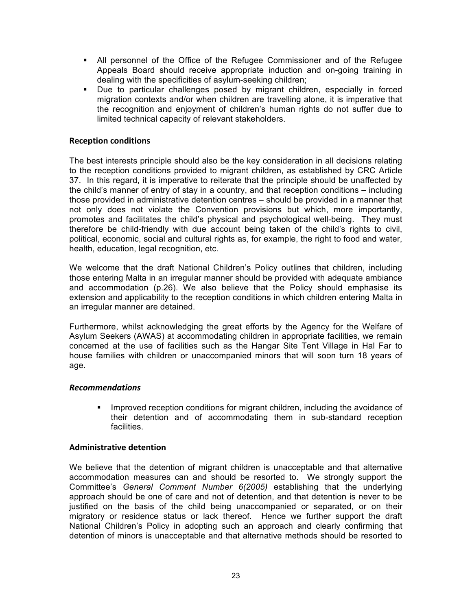- § All personnel of the Office of the Refugee Commissioner and of the Refugee Appeals Board should receive appropriate induction and on-going training in dealing with the specificities of asylum-seeking children;
- § Due to particular challenges posed by migrant children, especially in forced migration contexts and/or when children are travelling alone, it is imperative that the recognition and enjoyment of children's human rights do not suffer due to limited technical capacity of relevant stakeholders.

#### **Reception conditions**

The best interests principle should also be the key consideration in all decisions relating to the reception conditions provided to migrant children, as established by CRC Article 37. In this regard, it is imperative to reiterate that the principle should be unaffected by the child's manner of entry of stay in a country, and that reception conditions – including those provided in administrative detention centres – should be provided in a manner that not only does not violate the Convention provisions but which, more importantly, promotes and facilitates the child's physical and psychological well-being. They must therefore be child-friendly with due account being taken of the child's rights to civil, political, economic, social and cultural rights as, for example, the right to food and water, health, education, legal recognition, etc.

We welcome that the draft National Children's Policy outlines that children, including those entering Malta in an irregular manner should be provided with adequate ambiance and accommodation (p.26). We also believe that the Policy should emphasise its extension and applicability to the reception conditions in which children entering Malta in an irregular manner are detained.

Furthermore, whilst acknowledging the great efforts by the Agency for the Welfare of Asylum Seekers (AWAS) at accommodating children in appropriate facilities, we remain concerned at the use of facilities such as the Hangar Site Tent Village in Hal Far to house families with children or unaccompanied minors that will soon turn 18 years of age.

#### *Recommendations*

• Improved reception conditions for migrant children, including the avoidance of their detention and of accommodating them in sub-standard reception facilities.

#### **Administrative detention**

We believe that the detention of migrant children is unacceptable and that alternative accommodation measures can and should be resorted to. We strongly support the Committee's *General Comment Number 6(2005)* establishing that the underlying approach should be one of care and not of detention, and that detention is never to be justified on the basis of the child being unaccompanied or separated, or on their migratory or residence status or lack thereof. Hence we further support the draft National Children's Policy in adopting such an approach and clearly confirming that detention of minors is unacceptable and that alternative methods should be resorted to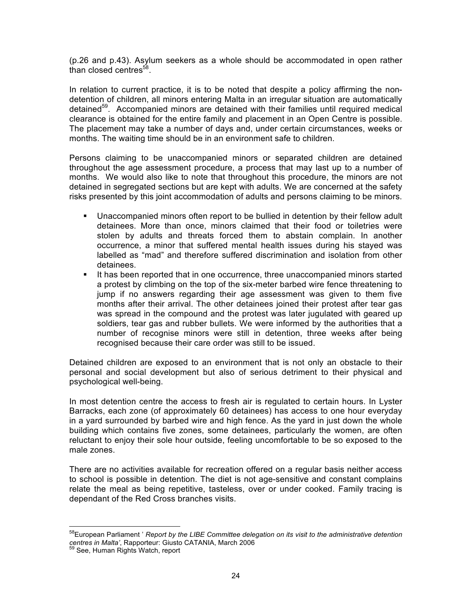(p.26 and p.43). Asylum seekers as a whole should be accommodated in open rather than closed centres $^{58}$ .

In relation to current practice, it is to be noted that despite a policy affirming the nondetention of children, all minors entering Malta in an irregular situation are automatically detained<sup>59</sup>. Accompanied minors are detained with their families until required medical clearance is obtained for the entire family and placement in an Open Centre is possible. The placement may take a number of days and, under certain circumstances, weeks or months. The waiting time should be in an environment safe to children.

Persons claiming to be unaccompanied minors or separated children are detained throughout the age assessment procedure, a process that may last up to a number of months. We would also like to note that throughout this procedure, the minors are not detained in segregated sections but are kept with adults. We are concerned at the safety risks presented by this joint accommodation of adults and persons claiming to be minors.

- § Unaccompanied minors often report to be bullied in detention by their fellow adult detainees. More than once, minors claimed that their food or toiletries were stolen by adults and threats forced them to abstain complain. In another occurrence, a minor that suffered mental health issues during his stayed was labelled as "mad" and therefore suffered discrimination and isolation from other detainees.
- § It has been reported that in one occurrence, three unaccompanied minors started a protest by climbing on the top of the six-meter barbed wire fence threatening to jump if no answers regarding their age assessment was given to them five months after their arrival. The other detainees joined their protest after tear gas was spread in the compound and the protest was later jugulated with geared up soldiers, tear gas and rubber bullets. We were informed by the authorities that a number of recognise minors were still in detention, three weeks after being recognised because their care order was still to be issued.

Detained children are exposed to an environment that is not only an obstacle to their personal and social development but also of serious detriment to their physical and psychological well-being.

In most detention centre the access to fresh air is regulated to certain hours. In Lyster Barracks, each zone (of approximately 60 detainees) has access to one hour everyday in a yard surrounded by barbed wire and high fence. As the yard in just down the whole building which contains five zones, some detainees, particularly the women, are often reluctant to enjoy their sole hour outside, feeling uncomfortable to be so exposed to the male zones.

There are no activities available for recreation offered on a regular basis neither access to school is possible in detention. The diet is not age-sensitive and constant complains relate the meal as being repetitive, tasteless, over or under cooked. Family tracing is dependant of the Red Cross branches visits.

 58European Parliament ' *Report by the LIBE Committee delegation on its visit to the administrative detention centres in Malta'*, Rapporteur: Giusto CATANIA, March 2006 <sup>59</sup> See, Human Rights Watch, report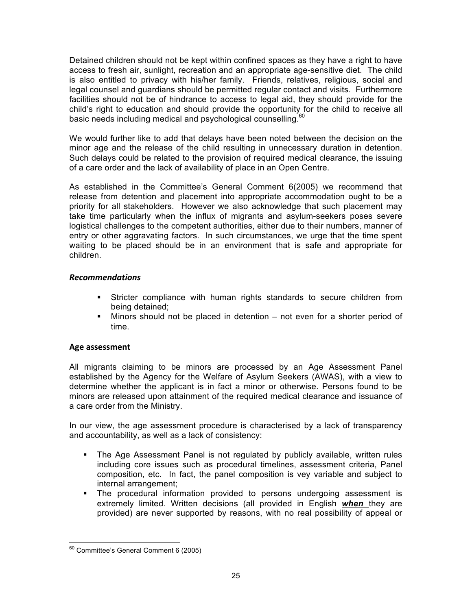Detained children should not be kept within confined spaces as they have a right to have access to fresh air, sunlight, recreation and an appropriate age-sensitive diet. The child is also entitled to privacy with his/her family. Friends, relatives, religious, social and legal counsel and guardians should be permitted regular contact and visits. Furthermore facilities should not be of hindrance to access to legal aid, they should provide for the child's right to education and should provide the opportunity for the child to receive all basic needs including medical and psychological counselling.<sup>60</sup>

We would further like to add that delays have been noted between the decision on the minor age and the release of the child resulting in unnecessary duration in detention. Such delays could be related to the provision of required medical clearance, the issuing of a care order and the lack of availability of place in an Open Centre.

As established in the Committee's General Comment 6(2005) we recommend that release from detention and placement into appropriate accommodation ought to be a priority for all stakeholders. However we also acknowledge that such placement may take time particularly when the influx of migrants and asylum-seekers poses severe logistical challenges to the competent authorities, either due to their numbers, manner of entry or other aggravating factors. In such circumstances, we urge that the time spent waiting to be placed should be in an environment that is safe and appropriate for children.

#### *Recommendations*

- § Stricter compliance with human rights standards to secure children from being detained;
- Minors should not be placed in detention not even for a shorter period of time.

#### **Age assessment**

All migrants claiming to be minors are processed by an Age Assessment Panel established by the Agency for the Welfare of Asylum Seekers (AWAS), with a view to determine whether the applicant is in fact a minor or otherwise. Persons found to be minors are released upon attainment of the required medical clearance and issuance of a care order from the Ministry.

In our view, the age assessment procedure is characterised by a lack of transparency and accountability, as well as a lack of consistency:

- The Age Assessment Panel is not regulated by publicly available, written rules including core issues such as procedural timelines, assessment criteria, Panel composition, etc. In fact, the panel composition is vey variable and subject to internal arrangement;
- The procedural information provided to persons undergoing assessment is extremely limited. Written decisions (all provided in English *when* they are provided) are never supported by reasons, with no real possibility of appeal or

 <sup>60</sup> Committee's General Comment 6 (2005)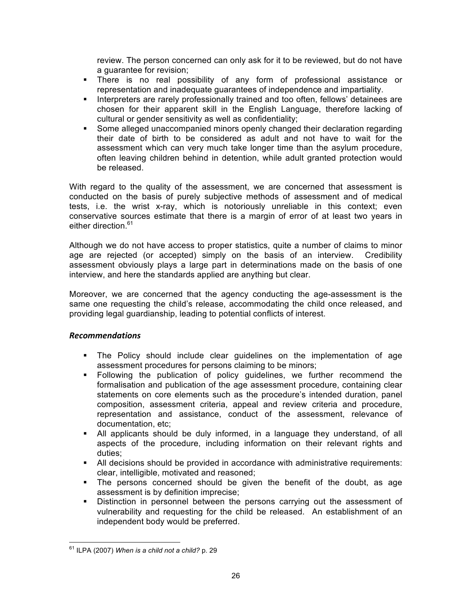review. The person concerned can only ask for it to be reviewed, but do not have a guarantee for revision;

- § There is no real possibility of any form of professional assistance or representation and inadequate guarantees of independence and impartiality.
- **■** Interpreters are rarely professionally trained and too often, fellows' detainees are chosen for their apparent skill in the English Language, therefore lacking of cultural or gender sensitivity as well as confidentiality;
- § Some alleged unaccompanied minors openly changed their declaration regarding their date of birth to be considered as adult and not have to wait for the assessment which can very much take longer time than the asylum procedure, often leaving children behind in detention, while adult granted protection would be released.

With regard to the quality of the assessment, we are concerned that assessment is conducted on the basis of purely subjective methods of assessment and of medical tests, i.e. the wrist x-ray, which is notoriously unreliable in this context; even conservative sources estimate that there is a margin of error of at least two years in either direction.<sup>61</sup>

Although we do not have access to proper statistics, quite a number of claims to minor age are rejected (or accepted) simply on the basis of an interview. Credibility assessment obviously plays a large part in determinations made on the basis of one interview, and here the standards applied are anything but clear.

Moreover, we are concerned that the agency conducting the age-assessment is the same one requesting the child's release, accommodating the child once released, and providing legal guardianship, leading to potential conflicts of interest.

- § The Policy should include clear guidelines on the implementation of age assessment procedures for persons claiming to be minors;
- § Following the publication of policy guidelines, we further recommend the formalisation and publication of the age assessment procedure, containing clear statements on core elements such as the procedure's intended duration, panel composition, assessment criteria, appeal and review criteria and procedure, representation and assistance, conduct of the assessment, relevance of documentation, etc;
- § All applicants should be duly informed, in a language they understand, of all aspects of the procedure, including information on their relevant rights and duties;
- All decisions should be provided in accordance with administrative requirements: clear, intelligible, motivated and reasoned;
- The persons concerned should be given the benefit of the doubt, as age assessment is by definition imprecise;
- Distinction in personnel between the persons carrying out the assessment of vulnerability and requesting for the child be released. An establishment of an independent body would be preferred.

 <sup>61</sup> ILPA (2007) *When is a child not a child?* p. 29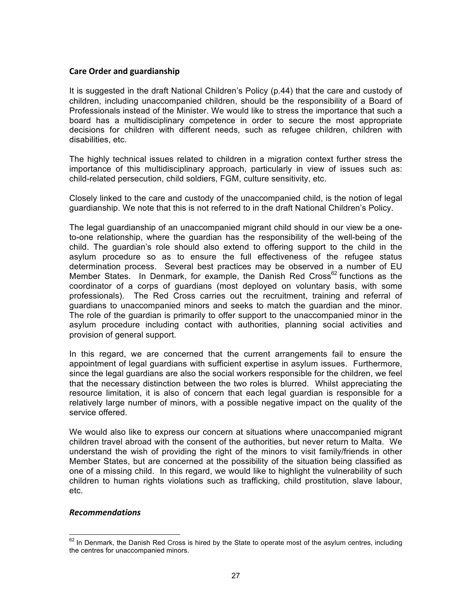#### **Care Order and guardianship**

It is suggested in the draft National Children's Policy (p.44) that the care and custody of children, including unaccompanied children, should be the responsibility of a Board of Professionals instead of the Minister. We would like to stress the importance that such a board has a multidisciplinary competence in order to secure the most appropriate decisions for children with different needs, such as refugee children, children with disabilities, etc.

The highly technical issues related to children in a migration context further stress the importance of this multidisciplinary approach, particularly in view of issues such as: child-related persecution, child soldiers, FGM, culture sensitivity, etc.

Closely linked to the care and custody of the unaccompanied child, is the notion of legal guardianship. We note that this is not referred to in the draft National Children's Policy.

The legal guardianship of an unaccompanied migrant child should in our view be a oneto-one relationship, where the guardian has the responsibility of the well-being of the child. The guardian's role should also extend to offering support to the child in the asylum procedure so as to ensure the full effectiveness of the refugee status determination process. Several best practices may be observed in a number of EU Member States. In Denmark, for example, the Danish Red Cross<sup>62</sup> functions as the coordinator of a corps of guardians (most deployed on voluntary basis, with some professionals). The Red Cross carries out the recruitment, training and referral of guardians to unaccompanied minors and seeks to match the guardian and the minor. The role of the guardian is primarily to offer support to the unaccompanied minor in the asylum procedure including contact with authorities, planning social activities and provision of general support.

In this regard, we are concerned that the current arrangements fail to ensure the appointment of legal guardians with sufficient expertise in asylum issues. Furthermore, since the legal guardians are also the social workers responsible for the children, we feel that the necessary distinction between the two roles is blurred. Whilst appreciating the resource limitation, it is also of concern that each legal guardian is responsible for a relatively large number of minors, with a possible negative impact on the quality of the service offered.

We would also like to express our concern at situations where unaccompanied migrant children travel abroad with the consent of the authorities, but never return to Malta. We understand the wish of providing the right of the minors to visit family/friends in other Member States, but are concerned at the possibility of the situation being classified as one of a missing child. In this regard, we would like to highlight the vulnerability of such children to human rights violations such as trafficking, child prostitution, slave labour, etc.

 $62$  In Denmark, the Danish Red Cross is hired by the State to operate most of the asylum centres, including the centres for unaccompanied minors.